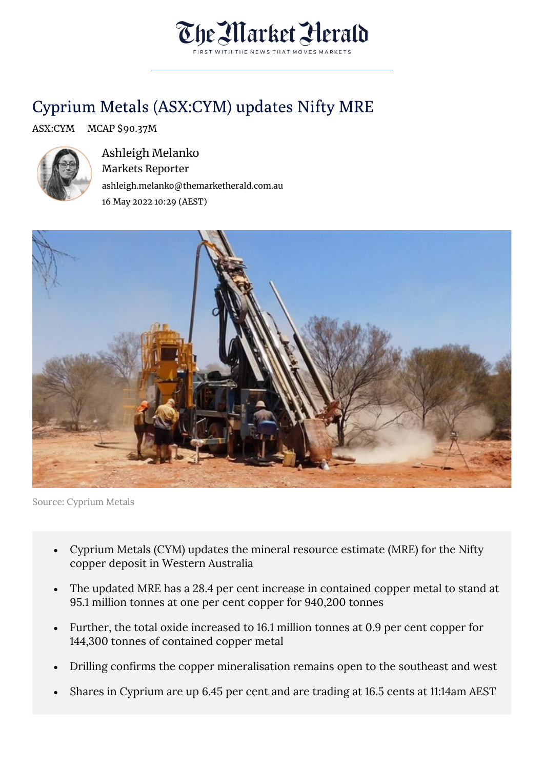

## Cyprium Metals (ASX:CYM) updates Nifty MRE

## ASX:CYM MCAP \$90.37M



Ashleigh Melanko Markets Reporter ashleigh.melanko@themarketherald.com.au 16 May 2022 10:29 (AEST)



Source: Cyprium Metals

- Cyprium Metals (CYM) updates the mineral resource estimate (MRE) for the Nifty copper deposit in Western Australia
- The updated MRE has a 28.4 per cent increase in contained copper metal to stand at 95.1 million tonnes at one per cent copper for 940,200 tonnes
- Further, the total oxide increased to 16.1 million tonnes at 0.9 per cent copper for 144,300 tonnes of contained copper metal
- Drilling confirms the copper mineralisation remains open to the southeast and west
- Shares in Cyprium are up 6.45 per cent and are trading at 16.5 cents at 11:14am AEST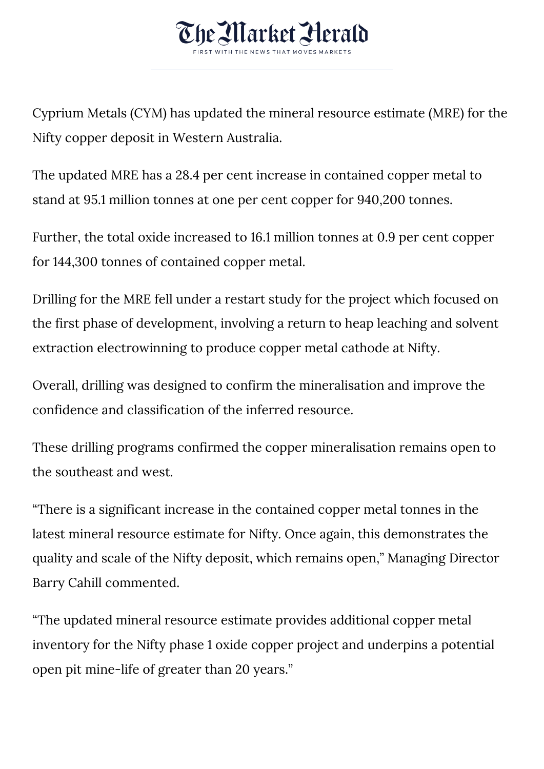

Cyprium Metals (CYM) has updated the mineral resource estimate (MRE) for the Nifty copper deposit in Western Australia.

The updated MRE has a 28.4 per cent increase in contained copper metal to stand at 95.1 million tonnes at one per cent copper for 940,200 tonnes.

Further, the total oxide increased to 16.1 million tonnes at 0.9 per cent copper for 144,300 tonnes of contained copper metal.

Drilling for the MRE fell under a restart study for the project which focused on the first phase of development, involving a return to heap leaching and solvent extraction electrowinning to produce copper metal cathode at Nifty.

Overall, drilling was designed to confirm the mineralisation and improve the confidence and classification of the inferred resource.

These drilling programs confirmed the copper mineralisation remains open to the southeast and west.

"There is a significant increase in the contained copper metal tonnes in the latest mineral resource estimate for Nifty. Once again, this demonstrates the quality and scale of the Nifty deposit, which remains open," Managing Director Barry Cahill commented.

"The updated mineral resource estimate provides additional copper metal inventory for the Nifty phase 1 oxide copper project and underpins a potential open pit mine-life of greater than 20 years."